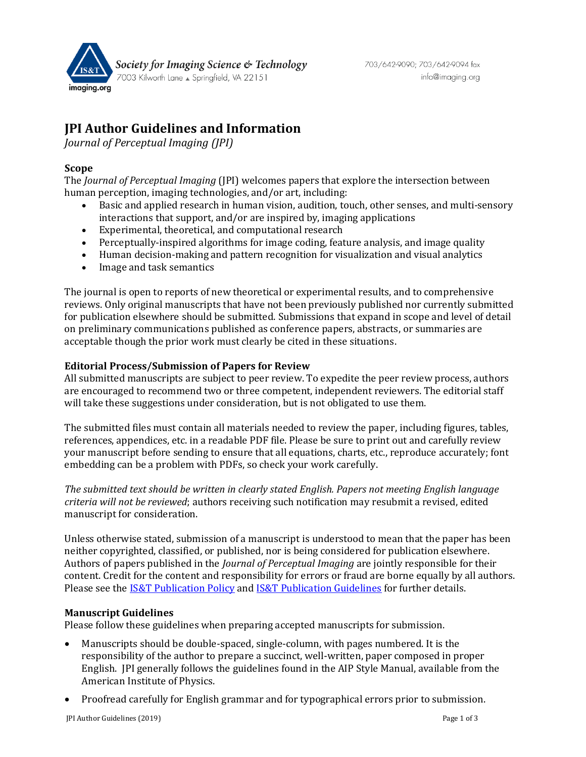

# **JPI Author Guidelines and Information**

*Journal of Perceptual Imaging (JPI)*

## **Scope**

The *Journal of Perceptual Imaging* (JPI) welcomes papers that explore the intersection between human perception, imaging technologies, and/or art, including:

- Basic and applied research in human vision, audition, touch, other senses, and multi-sensory interactions that support, and/or are inspired by, imaging applications
- Experimental, theoretical, and computational research
- Perceptually-inspired algorithms for image coding, feature analysis, and image quality
- Human decision-making and pattern recognition for visualization and visual analytics
- Image and task semantics

The journal is open to reports of new theoretical or experimental results, and to comprehensive reviews. Only original manuscripts that have not been previously published nor currently submitted for publication elsewhere should be submitted. Submissions that expand in scope and level of detail on preliminary communications published as conference papers, abstracts, or summaries are acceptable though the prior work must clearly be cited in these situations.

### **Editorial Process/Submission of Papers for Review**

All submitted manuscripts are subject to peer review. To expedite the peer review process, authors are encouraged to recommend two or three competent, independent reviewers. The editorial staff will take these suggestions under consideration, but is not obligated to use them.

The submitted files must contain all materials needed to review the paper, including figures, tables, references, appendices, etc. in a readable PDF file. Please be sure to print out and carefully review your manuscript before sending to ensure that all equations, charts, etc., reproduce accurately; font embedding can be a problem with PDFs, so check your work carefully.

*The submitted text should be written in clearly stated English. Papers not meeting English language criteria will not be reviewed*; authors receiving such notification may resubmit a revised, edited manuscript for consideration.

Unless otherwise stated, submission of a manuscript is understood to mean that the paper has been neither copyrighted, classified, or published, nor is being considered for publication elsewhere. Authors of papers published in the *Journal of Perceptual Imaging* are jointly responsible for their content. Credit for the content and responsibility for errors or fraud are borne equally by all authors. Please see th[e IS&T Publication Policy](http://www.imaging.org/site/PDFS/JIST/IST_Publication_Policy.pdf) an[d IS&T Publication Guidelines](http://www.imaging.org/site/PDFS/JIST/IST_Publication_Guidelines.pdf) for further details.

## **Manuscript Guidelines**

Please follow these guidelines when preparing accepted manuscripts for submission.

- Manuscripts should be double-spaced, single-column, with pages numbered. It is the responsibility of the author to prepare a succinct, well-written, paper composed in proper English. JPI generally follows the guidelines found in the AIP Style Manual, available from the American Institute of Physics.
- Proofread carefully for English grammar and for typographical errors prior to submission.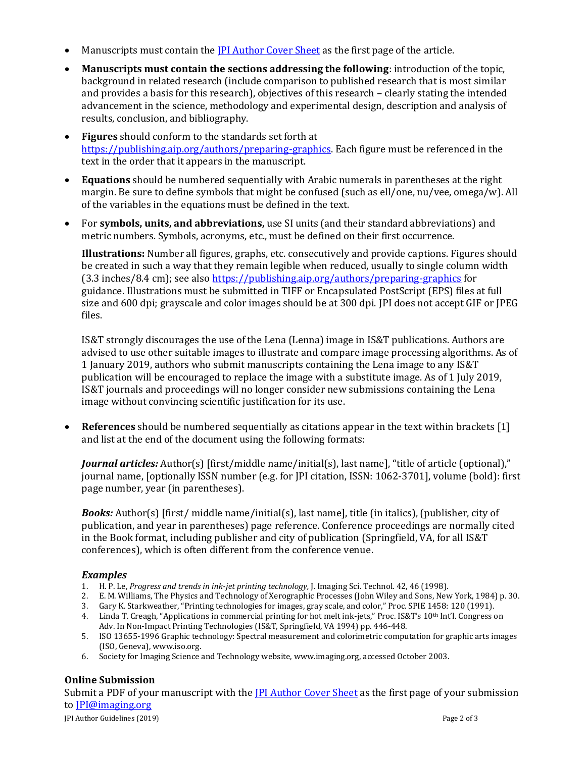- Manuscripts must contain the *IPI* [Author Cover Sheet](https://www.imaging.org/Site/PDFS/JPI/JPI-Author-Cover-Sheet.PDF) as the first page of the article.
- **Manuscripts must contain the sections addressing the following**: introduction of the topic, background in related research (include comparison to published research that is most similar and provides a basis for this research), objectives of this research – clearly stating the intended advancement in the science, methodology and experimental design, description and analysis of results, conclusion, and bibliography.
- **Figures** should conform to the standards set forth at [https://publishing.aip.org/authors/preparing-graphics.](https://publishing.aip.org/authors/preparing-graphics) Each figure must be referenced in the text in the order that it appears in the manuscript.
- **Equations** should be numbered sequentially with Arabic numerals in parentheses at the right margin. Be sure to define symbols that might be confused (such as ell/one, nu/vee, omega/w). All of the variables in the equations must be defined in the text.
- For **symbols, units, and abbreviations,** use SI units (and their standard abbreviations) and metric numbers. Symbols, acronyms, etc., must be defined on their first occurrence.

**Illustrations:** Number all figures, graphs, etc. consecutively and provide captions. Figures should be created in such a way that they remain legible when reduced, usually to single column width (3.3 inches/8.4 cm); see also<https://publishing.aip.org/authors/preparing-graphics> for guidance. Illustrations must be submitted in TIFF or Encapsulated PostScript (EPS) files at full size and 600 dpi; grayscale and color images should be at 300 dpi. JPI does not accept GIF or JPEG files.

IS&T strongly discourages the use of the Lena (Lenna) image in IS&T publications. Authors are advised to use other suitable images to illustrate and compare image processing algorithms. As of 1 January 2019, authors who submit manuscripts containing the Lena image to any IS&T publication will be encouraged to replace the image with a substitute image. As of 1 July 2019, IS&T journals and proceedings will no longer consider new submissions containing the Lena image without convincing scientific justification for its use.

• **References** should be numbered sequentially as citations appear in the text within brackets [1] and list at the end of the document using the following formats:

*Journal articles:* Author(s) [first/middle name/initial(s), last name], "title of article (optional)," journal name, [optionally ISSN number (e.g. for JPI citation, ISSN: 1062-3701], volume (bold): first page number, year (in parentheses).

*Books:* Author(s) [first/ middle name/initial(s), last name], title (in italics), (publisher, city of publication, and year in parentheses) page reference. Conference proceedings are normally cited in the Book format, including publisher and city of publication (Springfield, VA, for all IS&T conferences), which is often different from the conference venue.

#### *Examples*

- 1. H. P. Le, *Progress and trends in ink-jet printing technology,* J. Imaging Sci. Technol. 42, 46 (1998).
- 2. E. M. Williams, The Physics and Technology of Xerographic Processes (John Wiley and Sons, New York, 1984) p. 30.
- 3. Gary K. Starkweather, "Printing technologies for images, gray scale, and color," Proc. SPIE 1458: 120 (1991).
- 4. Linda T. Creagh, "Applications in commercial printing for hot melt ink-jets," Proc. IS&T's 10<sup>th</sup> Int'l. Congress on Adv. In Non-Impact Printing Technologies (IS&T, Springfield, VA 1994) pp. 446-448.
- 5. ISO 13655-1996 Graphic technology: Spectral measurement and colorimetric computation for graphic arts images (ISO, Geneva)[, www.iso.org.](http://www.iso.org/)
- 6. Society for Imaging Science and Technology website[, www.imaging.org,](http://www.imaging.org/) accessed October 2003.

## **Online Submission**

Submit a PDF of your manuscript with the **IPI [Author Cover Sheet](http://www.imaging.org/Site/PDFS/JPI/JPI-Author-Cover-Sheet.docx)** as the first page of your submission t[o JPI@imaging.org](mailto:jpi@imaging.org)